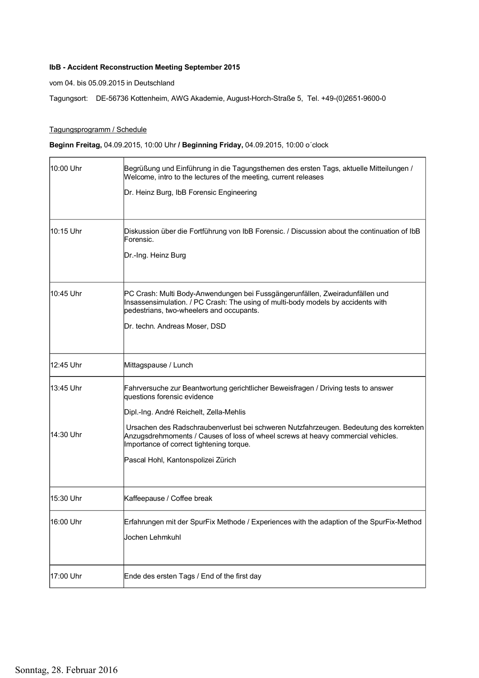## IbB - Accident Reconstruction Meeting September 2015

vom 04. bis 05.09.2015 in Deutschland

Tagungsort: DE-56736 Kottenheim, AWG Akademie, August-Horch-Straße 5, Tel. +49-(0)2651-9600-0

## Tagungsprogramm / Schedule

## Beginn Freitag, 04.09.2015, 10:00 Uhr / Beginning Friday, 04.09.2015, 10:00 o´clock

| 10:00 Uhr                | Begrüßung und Einführung in die Tagungsthemen des ersten Tags, aktuelle Mitteilungen /<br>Welcome, intro to the lectures of the meeting, current releases<br>Dr. Heinz Burg, IbB Forensic Engineering                                                                                                                                                                                                                       |
|--------------------------|-----------------------------------------------------------------------------------------------------------------------------------------------------------------------------------------------------------------------------------------------------------------------------------------------------------------------------------------------------------------------------------------------------------------------------|
| 10:15 Uhr                | Diskussion über die Fortführung von IbB Forensic. / Discussion about the continuation of IbB<br>Forensic.<br>Dr.-Ing. Heinz Burg                                                                                                                                                                                                                                                                                            |
| 10:45 Uhr                | PC Crash: Multi Body-Anwendungen bei Fussgängerunfällen, Zweiradunfällen und<br>Insassensimulation. / PC Crash: The using of multi-body models by accidents with<br>pedestrians, two-wheelers and occupants.<br>Dr. techn. Andreas Moser, DSD                                                                                                                                                                               |
| 12:45 Uhr                | Mittagspause / Lunch                                                                                                                                                                                                                                                                                                                                                                                                        |
| l13:45 Uhr<br> 14:30 Uhr | Fahrversuche zur Beantwortung gerichtlicher Beweisfragen / Driving tests to answer<br>questions forensic evidence<br>Dipl.-Ing. André Reichelt, Zella-Mehlis<br>Ursachen des Radschraubenverlust bei schweren Nutzfahrzeugen. Bedeutung des korrekten<br>Anzugsdrehmoments / Causes of loss of wheel screws at heavy commercial vehicles.<br>Importance of correct tightening torque.<br>Pascal Hohl, Kantonspolizei Zürich |
| 15:30 Uhr                | Kaffeepause / Coffee break                                                                                                                                                                                                                                                                                                                                                                                                  |
| 16:00 Uhr                | Erfahrungen mit der SpurFix Methode / Experiences with the adaption of the SpurFix-Method<br>Jochen Lehmkuhl                                                                                                                                                                                                                                                                                                                |
| 17:00 Uhr                | Ende des ersten Tags / End of the first day                                                                                                                                                                                                                                                                                                                                                                                 |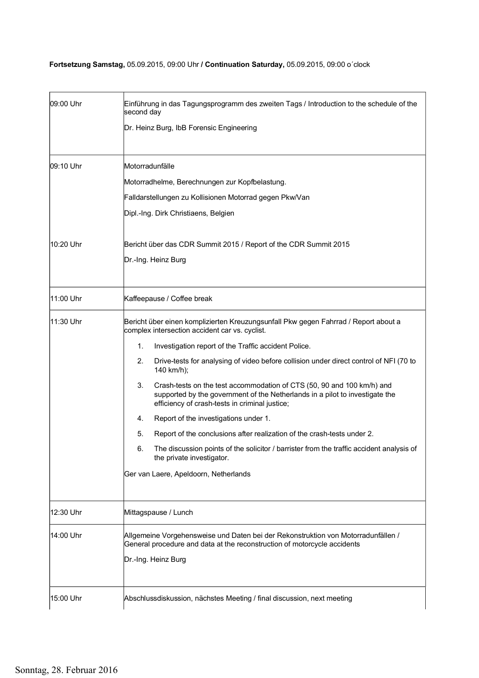## Fortsetzung Samstag, 05.09.2015, 09:00 Uhr / Continuation Saturday, 05.09.2015, 09:00 o´clock

| 09:00 Uhr | Einführung in das Tagungsprogramm des zweiten Tags / Introduction to the schedule of the<br>second day                                                                                                                                                                                                                                                                                                                                                                                                                                                                                                                                                                                                                                                                                                                                      |
|-----------|---------------------------------------------------------------------------------------------------------------------------------------------------------------------------------------------------------------------------------------------------------------------------------------------------------------------------------------------------------------------------------------------------------------------------------------------------------------------------------------------------------------------------------------------------------------------------------------------------------------------------------------------------------------------------------------------------------------------------------------------------------------------------------------------------------------------------------------------|
|           | Dr. Heinz Burg, IbB Forensic Engineering                                                                                                                                                                                                                                                                                                                                                                                                                                                                                                                                                                                                                                                                                                                                                                                                    |
| 09:10 Uhr | Motorradunfälle<br>Motorradhelme, Berechnungen zur Kopfbelastung.<br>Falldarstellungen zu Kollisionen Motorrad gegen Pkw/Van<br>Dipl.-Ing. Dirk Christiaens, Belgien                                                                                                                                                                                                                                                                                                                                                                                                                                                                                                                                                                                                                                                                        |
| 10:20 Uhr | Bericht über das CDR Summit 2015 / Report of the CDR Summit 2015<br>Dr.-Ing. Heinz Burg                                                                                                                                                                                                                                                                                                                                                                                                                                                                                                                                                                                                                                                                                                                                                     |
| 11:00 Uhr | Kaffeepause / Coffee break                                                                                                                                                                                                                                                                                                                                                                                                                                                                                                                                                                                                                                                                                                                                                                                                                  |
| 11:30 Uhr | Bericht über einen komplizierten Kreuzungsunfall Pkw gegen Fahrrad / Report about a<br>complex intersection accident car vs. cyclist.<br>1.<br>Investigation report of the Traffic accident Police.<br>2.<br>Drive-tests for analysing of video before collision under direct control of NFI (70 to<br>140 km/h);<br>3.<br>Crash-tests on the test accommodation of CTS (50, 90 and 100 km/h) and<br>supported by the government of the Netherlands in a pilot to investigate the<br>efficiency of crash-tests in criminal justice;<br>Report of the investigations under 1.<br>4.<br>5.<br>Report of the conclusions after realization of the crash-tests under 2.<br>The discussion points of the solicitor / barrister from the traffic accident analysis of<br>6.<br>the private investigator.<br>Ger van Laere, Apeldoorn, Netherlands |
| 12:30 Uhr | Mittagspause / Lunch                                                                                                                                                                                                                                                                                                                                                                                                                                                                                                                                                                                                                                                                                                                                                                                                                        |
| 14:00 Uhr | Allgemeine Vorgehensweise und Daten bei der Rekonstruktion von Motorradunfällen /<br>General procedure and data at the reconstruction of motorcycle accidents<br> Dr.-Ing. Heinz Burg                                                                                                                                                                                                                                                                                                                                                                                                                                                                                                                                                                                                                                                       |
| 15:00 Uhr | Abschlussdiskussion, nächstes Meeting / final discussion, next meeting                                                                                                                                                                                                                                                                                                                                                                                                                                                                                                                                                                                                                                                                                                                                                                      |